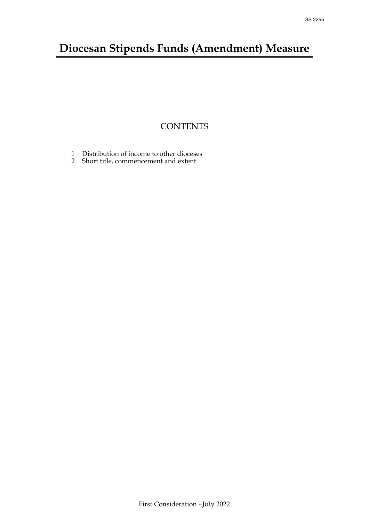# **Diocesan Stipends Funds (Amendment) Measure**

## **CONTENTS**

- [1 Distribution of income to other dioceses](#page-1-0)
- 2 [Short title, commencement and extent](#page-1-1)